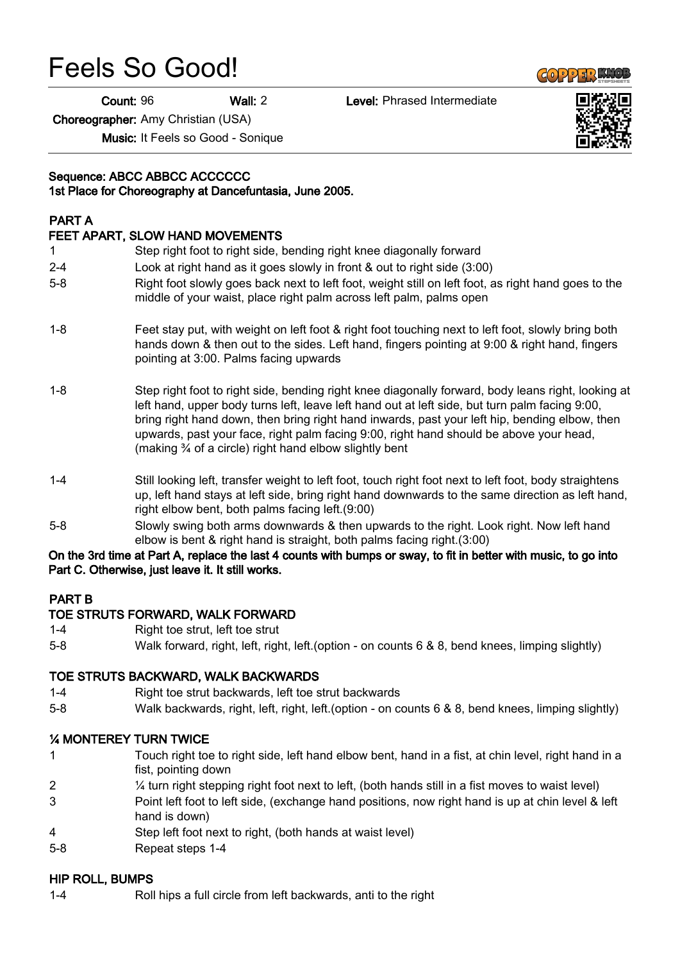# Feels So Good!

Count: 96 Wall: 2 Level: Phrased Intermediate

Choreographer: Amy Christian (USA)

Music: It Feels so Good - Sonique

# Sequence: ABCC ABBCC ACCCCCC

#### 1st Place for Choreography at Dancefuntasia, June 2005.

# PART A

#### FEET APART, SLOW HAND MOVEMENTS

- 1 Step right foot to right side, bending right knee diagonally forward
- 2-4 Look at right hand as it goes slowly in front & out to right side (3:00)
- 5-8 Right foot slowly goes back next to left foot, weight still on left foot, as right hand goes to the middle of your waist, place right palm across left palm, palms open
- 1-8 Feet stay put, with weight on left foot & right foot touching next to left foot, slowly bring both hands down & then out to the sides. Left hand, fingers pointing at 9:00 & right hand, fingers pointing at 3:00. Palms facing upwards
- 1-8 Step right foot to right side, bending right knee diagonally forward, body leans right, looking at left hand, upper body turns left, leave left hand out at left side, but turn palm facing 9:00, bring right hand down, then bring right hand inwards, past your left hip, bending elbow, then upwards, past your face, right palm facing 9:00, right hand should be above your head, (making ¾ of a circle) right hand elbow slightly bent
- 1-4 Still looking left, transfer weight to left foot, touch right foot next to left foot, body straightens up, left hand stays at left side, bring right hand downwards to the same direction as left hand, right elbow bent, both palms facing left.(9:00)
- 5-8 Slowly swing both arms downwards & then upwards to the right. Look right. Now left hand elbow is bent & right hand is straight, both palms facing right.(3:00)

#### On the 3rd time at Part A, replace the last 4 counts with bumps or sway, to fit in better with music, to go into Part C. Otherwise, just leave it. It still works.

# PART B

#### TOE STRUTS FORWARD, WALK FORWARD

- 1-4 Right toe strut, left toe strut
- 5-8 Walk forward, right, left, right, left.(option on counts 6 & 8, bend knees, limping slightly)

#### TOE STRUTS BACKWARD, WALK BACKWARDS

- 1-4 Right toe strut backwards, left toe strut backwards
- 5-8 Walk backwards, right, left, right, left.(option on counts 6 & 8, bend knees, limping slightly)

#### ¼ MONTEREY TURN TWICE

- 1 Touch right toe to right side, left hand elbow bent, hand in a fist, at chin level, right hand in a fist, pointing down
- 2 ¼ turn right stepping right foot next to left, (both hands still in a fist moves to waist level)
- 3 Point left foot to left side, (exchange hand positions, now right hand is up at chin level & left hand is down)
- 4 Step left foot next to right, (both hands at waist level)
- 5-8 Repeat steps 1-4

#### HIP ROLL, BUMPS

1-4 Roll hips a full circle from left backwards, anti to the right